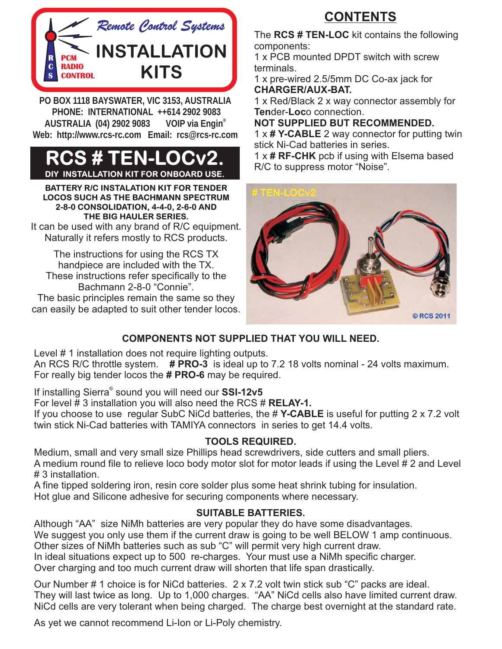

**PO BOX 1118 BAYSWATER, VIC 3153, AUSTRALIA AUSTRALIA (04) 2902 9083 VOIP via Engin®** Web: http://www.rcs-rc.com Email: rcs@rcs-rc.com **Web: http://www.rcs-rc.com Email: rcs@rcs-rc.com**

#### **CS # TEN-L INSTALLATION KIT FOR ONBOARD USE.**

**BATTERY R/C INSTALATION KIT FOR TENDER LOCOS SUCH AS THE BACHMANN SPECTRUM 2-8-0 CONSOLIDATION, 4-4-0, 2-6-0 AND THE BIG HAULER SERIES.**

It can be used with any brand of R/C equipment. Naturally it refers mostly to RCS products.

The instructions for using the RCS TX handpiece are included with the TX. These instructions refer specifically to the Bachmann 2-8-0 "Connie".

The basic principles remain the same so they can easily be adapted to suit other tender locos.

## **CONTENTS**

The RCS # TEN-LOC kit contains the following components:

1 x PCB mounted DPDT switch with screw terminals.

1 x pre-wired 2.5/5mm DC Co-ax jack for **CHARGER/AUX-BAT.**

1 x Red/Black 2 x way connector assembly for Tender-Loco connection.

**NOT SUPPLIED BUT RECOMMENDED.**

1 x # Y-CABLE 2 way connector for putting twin stick Ni-Cad batteries in series.

1 x # RF-CHK pcb if using with Elsema based R/C to suppress motor "Noise".



#### **COMPONENTS NOT SUPPLIED THAT YOU WILL NEED.**

Level # 1 installation does not require lighting outputs.

An RCS R/C throttle system. # PRO-3 is ideal up to 7.2 18 volts nominal - 24 volts maximum. For really big tender locos the **# PRO-6** may be required.

If installing Sierra® sound you will need our **SSI-12v5** 

For level  $\sharp$  3 installation you will also need the RCS  $\sharp$  RELAY-1.

If you choose to use regular SubC NiCd batteries, the # Y-CABLE is useful for putting 2 x 7.2 volt twin stick Ni-Cad batteries with TAMIYA connectors in series to get 14.4 volts.

#### **TOOLS REQUIRED.**

Medium, small and very small size Phillips head screwdrivers, side cutters and small pliers. A medium round file to relieve loco body motor slot for motor leads if using the Level # 2 and Level # 3 installation.

A fine tipped soldering iron, resin core solder plus some heat shrink tubing for insulation. Hot glue and Silicone adhesive for securing components where necessary.

#### **SUITABLE BATTERIES.**

Although "AA" size NiMh batteries are very popular they do have some disadvantages. We suggest you only use them if the current draw is going to be well BELOW 1 amp continuous. Other sizes of NiMh batteries such as sub "C" will permit very high current draw. In ideal situations expect up to 500 re-charges. Your must use a NiMh specific charger. Over charging and too much current draw will shorten that life span drastically.

Our Number # 1 choice is for NiCd batteries. 2 x 7.2 volt twin stick sub "C" packs are ideal. They will last twice as long. Up to 1,000 charges. "AA" NiCd cells also have limited current draw. NiCd cells are very tolerant when being charged. The charge best overnight at the standard rate.

As yet we cannot recommend Li-Ion or Li-Poly chemistry.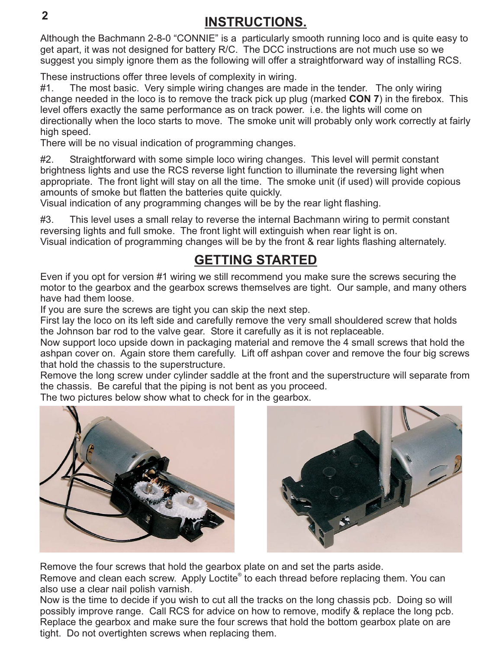### **INSTRUCTIONS.**

Although the Bachmann 2-8-0 "CONNIE" is a particularly smooth running loco and is quite easy to get apart, it was not designed for battery R/C. The DCC instructions are not much use so we suggest you simply ignore them as the following will offer a straightforward way of installing RCS.

These instructions offer three levels of complexity in wiring.

#1. The most basic. Very simple wiring changes are made in the tender. The only wiring change needed in the loco is to remove the track pick up plug (marked CON 7) in the firebox. This level offers exactly the same performance as on track power. i.e. the lights will come on directionally when the loco starts to move. The smoke unit will probably only work correctly at fairly high speed.

There will be no visual indication of programming changes.

#2. Straightforward with some simple loco wiring changes. This level will permit constant brightness lights and use the RCS reverse light function to illuminate the reversing light when appropriate. The front light will stay on all the time. The smoke unit (if used) will provide copious amounts of smoke but flatten the batteries quite quickly.

Visual indication of any programming changes will be by the rear light flashing.

#3. This level uses a small relay to reverse the internal Bachmann wiring to permit constant reversing lights and full smoke. The front light will extinguish when rear light is on. Visual indication of programming changes will be by the front & rear lights flashing alternately.

### **GETTING STARTED**

Even if you opt for version #1 wiring we still recommend you make sure the screws securing the motor to the gearbox and the gearbox screws themselves are tight. Our sample, and many others have had them loose.

If you are sure the screws are tight you can skip the next step.

First lay the loco on its left side and carefully remove the very small shouldered screw that holds the Johnson bar rod to the valve gear. Store it carefully as it is not replaceable.

Now support loco upside down in packaging material and remove the 4 small screws that hold the ashpan cover on. Again store them carefully. Lift off ashpan cover and remove the four big screws that hold the chassis to the superstructure.

Remove the long screw under cylinder saddle at the front and the superstructure will separate from the chassis. Be careful that the piping is not bent as you proceed.

The two pictures below show what to check for in the gearbox.





Remove the four screws that hold the gearbox plate on and set the parts aside.

Remove and clean each screw. Apply Loctite® to each thread before replacing them. You can also use a clear nail polish varnish.

Now is the time to decide if you wish to cut all the tracks on the long chassis pcb. Doing so will possibly improve range. Call RCS for advice on how to remove, modify & replace the long pcb. Replace the gearbox and make sure the four screws that hold the bottom gearbox plate on are tight. Do not overtighten screws when replacing them.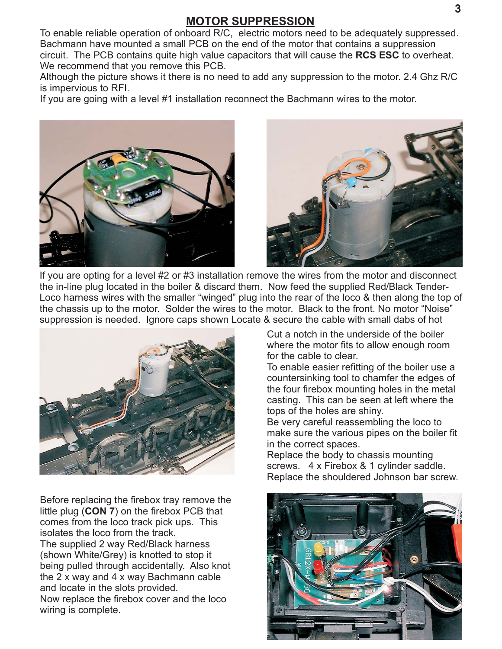#### **MOTOR SUPPRESSION**

To enable reliable operation of onboard R/C, electric motors need to be adequately suppressed. Bachmann have mounted a small PCB on the end of the motor that contains a suppression circuit. The PCB contains quite high value capacitors that will cause the RCS ESC to overheat. We recommend that you remove this PCB.

Although the picture shows it there is no need to add any suppression to the motor. 2.4 Ghz R/C is impervious to RFI.

If you are going with a level #1 installation reconnect the Bachmann wires to the motor.





If you are opting for a level #2 or #3 installation remove the wires from the motor and disconnect the in-line plug located in the boiler & discard them. Now feed the supplied Red/Black Tender-Loco harness wires with the smaller "winged" plug into the rear of the loco & then along the top of the chassis up to the motor. Solder the wires to the motor. Black to the front. No motor "Noise" suppression is needed. Ignore caps shown Locate & secure the cable with small dabs of hot



Before replacing the firebox tray remove the little plug (CON 7) on the firebox PCB that comes from the loco track pick ups. This isolates the loco from the track. The supplied 2 way Red/Black harness (shown White/Grey) is knotted to stop it being pulled through accidentally. Also knot the 2 x way and 4 x way Bachmann cable and locate in the slots provided. Now replace the firebox cover and the loco wiring is complete.

Cut a notch in the underside of the boiler where the motor fits to allow enough room for the cable to clear.

To enable easier refitting of the boiler use a countersinking tool to chamfer the edges of the four firebox mounting holes in the metal casting. This can be seen at left where the tops of the holes are shiny.

Be very careful reassembling the loco to make sure the various pipes on the boiler fit in the correct spaces.

Replace the body to chassis mounting screws. 4 x Firebox & 1 cylinder saddle. Replace the shouldered Johnson bar screw.

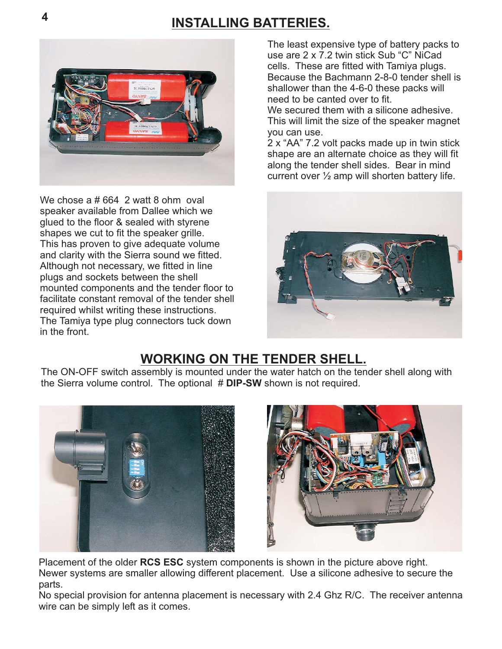## **INSTALLING BATTERIES. <sup>4</sup>**



We chose a # 664 2 watt 8 ohm oval speaker available from Dallee which we glued to the floor & sealed with styrene shapes we cut to fit the speaker grille. This has proven to give adequate volume and clarity with the Sierra sound we fitted. Although not necessary, we fitted in line plugs and sockets between the shell mounted components and the tender floor to facilitate constant removal of the tender shell required whilst writing these instructions. The Tamiya type plug connectors tuck down in the front.

The least expensive type of battery packs to use are 2 x 7.2 twin stick Sub "C" NiCad cells. These are fitted with Tamiya plugs. Because the Bachmann 2-8-0 tender shell is shallower than the 4-6-0 these packs will need to be canted over to fit.

We secured them with a silicone adhesive. This will limit the size of the speaker magnet you can use.

2 x "AA" 7.2 volt packs made up in twin stick shape are an alternate choice as they will fit along the tender shell sides. Bear in mind current over  $\frac{1}{2}$  amp will shorten battery life.



### **WORKING ON THE TENDER SHELL.**

The ON-OFF switch assembly is mounted under the water hatch on the tender shell along with the Sierra volume control. The optional # DIP-SW shown is not required.





Placement of the older RCS ESC system components is shown in the picture above right. Newer systems are smaller allowing different placement. Use a silicone adhesive to secure the parts.

No special provision for antenna placement is necessary with 2.4 Ghz R/C. The receiver antenna wire can be simply left as it comes.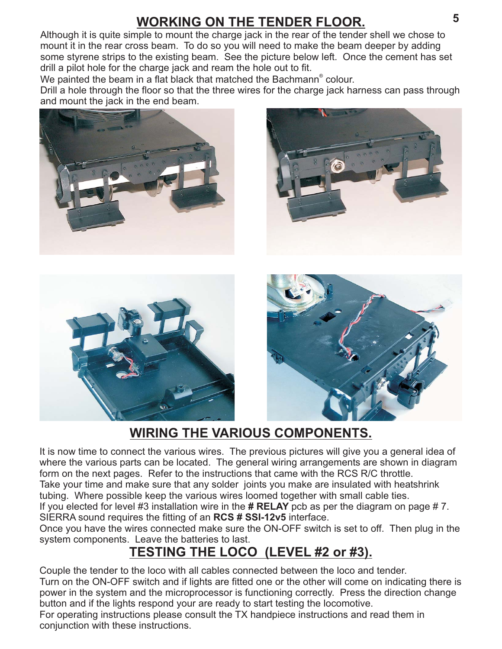## **WORKING ON THE TENDER FLOOR.**

Although it is quite simple to mount the charge jack in the rear of the tender shell we chose to mount it in the rear cross beam. To do so you will need to make the beam deeper by adding some styrene strips to the existing beam. See the picture below left. Once the cement has set drill a pilot hole for the charge jack and ream the hole out to fit.

We painted the beam in a flat black that matched the Bachmann® colour.

Drill a hole through the floor so that the three wires for the charge jack harness can pass through and mount the jack in the end beam.









## **WIRING THE VARIOUS COMPONENTS.**

It is now time to connect the various wires. The previous pictures will give you a general idea of where the various parts can be located. The general wiring arrangements are shown in diagram form on the next pages. Refer to the instructions that came with the RCS R/C throttle. Take your time and make sure that any solder joints you make are insulated with heatshrink tubing. Where possible keep the various wires loomed together with small cable ties. If you elected for level #3 installation wire in the # RELAY pcb as per the diagram on page # 7.

SIERRA sound requires the fitting of an RCS # SSI-12v5 interface.

Once you have the wires connected make sure the ON-OFF switch is set to off. Then plug in the system components. Leave the batteries to last.

## **TESTING THE LOCO (LEVEL #2 or #3).**

Couple the tender to the loco with all cables connected between the loco and tender. Turn on the ON-OFF switch and if lights are fitted one or the other will come on indicating there is power in the system and the microprocessor is functioning correctly. Press the direction change button and if the lights respond your are ready to start testing the locomotive.

For operating instructions please consult the TX handpiece instructions and read them in conjunction with these instructions.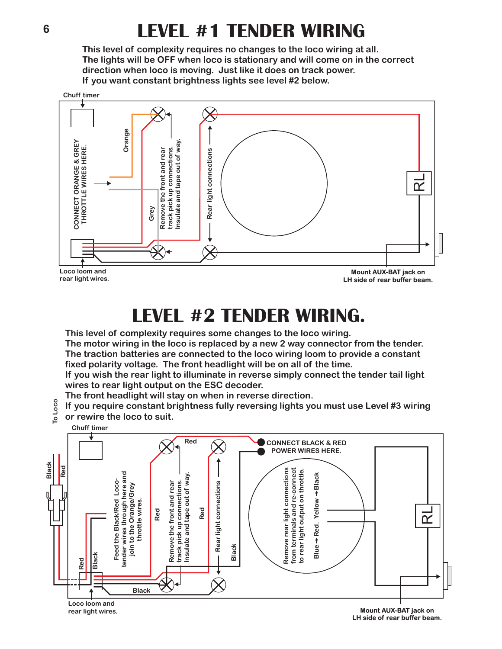# **LEVEL #1 TENDER WIRING**

**This level of complexity requires no changes to the loco wiring at all. The lights will be OFF when loco is stationary and will come on in the correct direction when loco is moving. Just like it does on track power. If you want constant brightness lights see level #2 below.**



**rear light wires.**

**LH side of rear buffer beam.**

# **LEVEL #2 TENDER WIRING.**

**This level of complexity requires some changes to the loco wiring.**

**The motor wiring in the loco is replaced by a new 2 way connector from the tender. The traction batteries are connected to the loco wiring loom to provide a constant fixed polarity voltage. The front headlight will be on all of the time.**

**If you wish the rear light to illuminate in reverse simply connect the tender tail light wires to rear light output on the ESC decoder.**

**The front headlight will stay on when in reverse direction.**

- **If you require constant brightness fully reversing lights you must use Level #3 wiring To Loco**
	- **or rewire the loco to suit. Chuff timer**



**LH side of rear buffer beam.**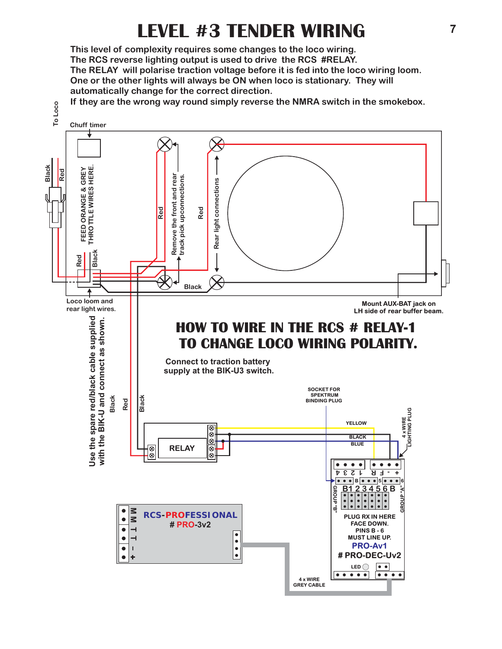# **LEVEL #3 TENDER WIRING**

**This level of complexity requires some changes to the loco wiring. One or the other lights will always be ON when loco is stationary. They will automatically change for the correct direction. The RCS reverse lighting output is used to drive the RCS #RELAY. The RELAY will polarise traction voltage before it is fed into the loco wiring loom.**